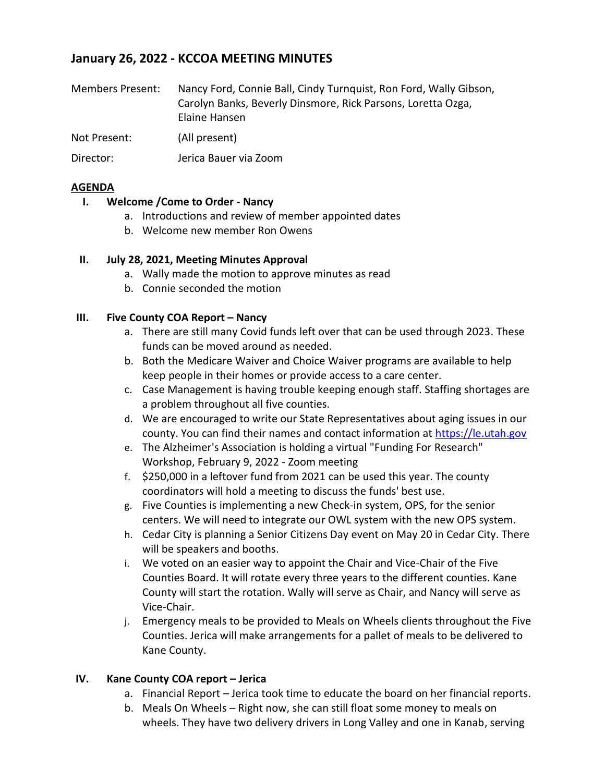# **January 26, 2022 - KCCOA MEETING MINUTES**

| <b>Members Present:</b> | Nancy Ford, Connie Ball, Cindy Turnquist, Ron Ford, Wally Gibson,<br>Carolyn Banks, Beverly Dinsmore, Rick Parsons, Loretta Ozga,<br>Elaine Hansen |
|-------------------------|----------------------------------------------------------------------------------------------------------------------------------------------------|
| Not Present:            | (All present)                                                                                                                                      |
| Director:               | Jerica Bauer via Zoom                                                                                                                              |

## **AGENDA**

#### **I. Welcome /Come to Order - Nancy**

- a. Introductions and review of member appointed dates
- b. Welcome new member Ron Owens

## **II. July 28, 2021, Meeting Minutes Approval**

- a. Wally made the motion to approve minutes as read
- b. Connie seconded the motion

#### **III.** Five County COA Report – Nancy

- a. There are still many Covid funds left over that can be used through 2023. These funds can be moved around as needed.
- b. Both the Medicare Waiver and Choice Waiver programs are available to help keep people in their homes or provide access to a care center.
- c. Case Management is having trouble keeping enough staff. Staffing shortages are a problem throughout all five counties.
- d. We are encouraged to write our State Representatives about aging issues in our county. You can find their names and contact information at [https://le.utah.gov](https://le.utah.gov/)
- e. The Alzheimer's Association is holding a virtual "Funding For Research" Workshop, February 9, 2022 - Zoom meeting
- f. \$250,000 in a leftover fund from 2021 can be used this year. The county coordinators will hold a meeting to discuss the funds' best use.
- g. Five Counties is implementing a new Check-in system, OPS, for the senior centers. We will need to integrate our OWL system with the new OPS system.
- h. Cedar City is planning a Senior Citizens Day event on May 20 in Cedar City. There will be speakers and booths.
- i. We voted on an easier way to appoint the Chair and Vice-Chair of the Five Counties Board. It will rotate every three years to the different counties. Kane County will start the rotation. Wally will serve as Chair, and Nancy will serve as Vice-Chair.
- j. Emergency meals to be provided to Meals on Wheels clients throughout the Five Counties. Jerica will make arrangements for a pallet of meals to be delivered to Kane County.

# **IV.** Kane County COA report – Jerica

- a. Financial Report Jerica took time to educate the board on her financial reports.
- b. Meals On Wheels Right now, she can still float some money to meals on wheels. They have two delivery drivers in Long Valley and one in Kanab, serving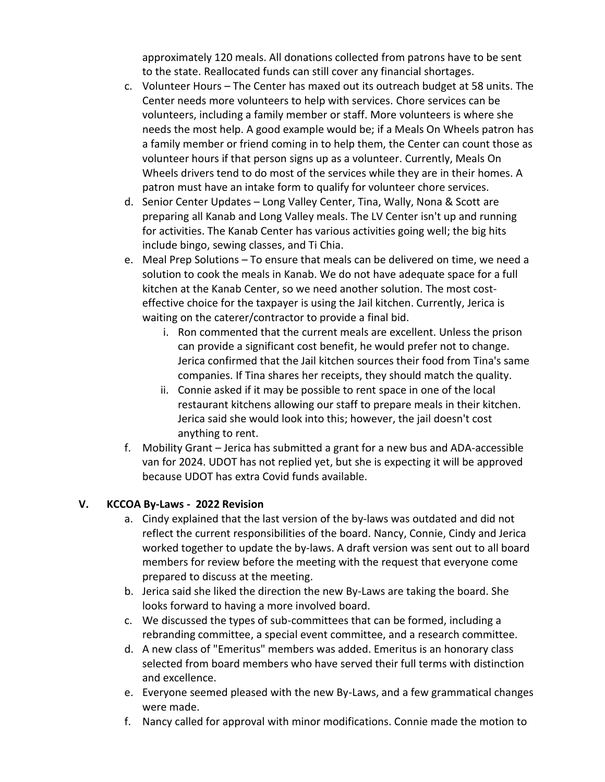approximately 120 meals. All donations collected from patrons have to be sent to the state. Reallocated funds can still cover any financial shortages.

- c. Volunteer Hours The Center has maxed out its outreach budget at 58 units. The Center needs more volunteers to help with services. Chore services can be volunteers, including a family member or staff. More volunteers is where she needs the most help. A good example would be; if a Meals On Wheels patron has a family member or friend coming in to help them, the Center can count those as volunteer hours if that person signs up as a volunteer. Currently, Meals On Wheels drivers tend to do most of the services while they are in their homes. A patron must have an intake form to qualify for volunteer chore services.
- d. Senior Center Updates Long Valley Center, Tina, Wally, Nona & Scott are preparing all Kanab and Long Valley meals. The LV Center isn't up and running for activities. The Kanab Center has various activities going well; the big hits include bingo, sewing classes, and Ti Chia.
- e. Meal Prep Solutions To ensure that meals can be delivered on time, we need a solution to cook the meals in Kanab. We do not have adequate space for a full kitchen at the Kanab Center, so we need another solution. The most costeffective choice for the taxpayer is using the Jail kitchen. Currently, Jerica is waiting on the caterer/contractor to provide a final bid.
	- i. Ron commented that the current meals are excellent. Unless the prison can provide a significant cost benefit, he would prefer not to change. Jerica confirmed that the Jail kitchen sources their food from Tina's same companies. If Tina shares her receipts, they should match the quality.
	- ii. Connie asked if it may be possible to rent space in one of the local restaurant kitchens allowing our staff to prepare meals in their kitchen. Jerica said she would look into this; however, the jail doesn't cost anything to rent.
- f. Mobility Grant Jerica has submitted a grant for a new bus and ADA-accessible van for 2024. UDOT has not replied yet, but she is expecting it will be approved because UDOT has extra Covid funds available.

# **V. KCCOA By-Laws - 2022 Revision**

- a. Cindy explained that the last version of the by-laws was outdated and did not reflect the current responsibilities of the board. Nancy, Connie, Cindy and Jerica worked together to update the by-laws. A draft version was sent out to all board members for review before the meeting with the request that everyone come prepared to discuss at the meeting.
- b. Jerica said she liked the direction the new By-Laws are taking the board. She looks forward to having a more involved board.
- c. We discussed the types of sub-committees that can be formed, including a rebranding committee, a special event committee, and a research committee.
- d. A new class of "Emeritus" members was added. Emeritus is an honorary class selected from board members who have served their full terms with distinction and excellence.
- e. Everyone seemed pleased with the new By-Laws, and a few grammatical changes were made.
- f. Nancy called for approval with minor modifications. Connie made the motion to